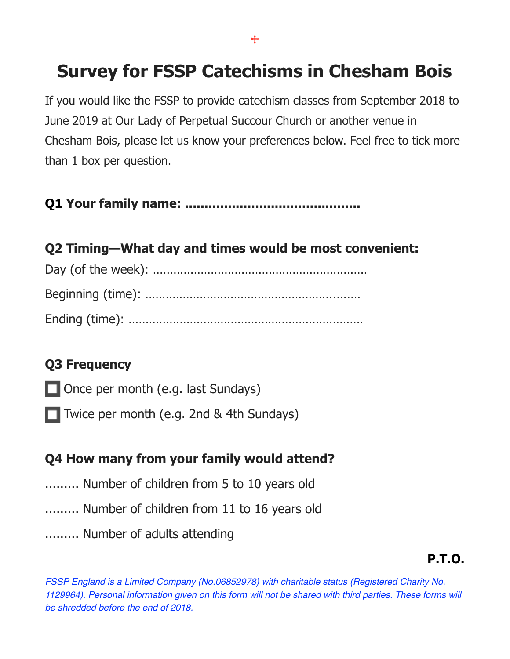# **Survey for FSSP Catechisms in Chesham Bois**

If you would like the FSSP to provide catechism classes from September 2018 to June 2019 at Our Lady of Perpetual Succour Church or another venue in Chesham Bois, please let us know your preferences below. Feel free to tick more than 1 box per question.

**Q1 Your family name: .............................................** 

#### **Q2 Timing—What day and times would be most convenient:**

## **Q3 Frequency**

- $\Box$  Once per month (e.g. last Sundays)
- $\Box$  Twice per month (e.g. 2nd & 4th Sundays)

## **Q4 How many from your family would attend?**

- ......... Number of children from 5 to 10 years old
- ......... Number of children from 11 to 16 years old
- ......... Number of adults attending

## **P.T.O.**

*FSSP England is a Limited Company (No.06852978) with charitable status (Registered Charity No. 1129964). Personal information given on this form will not be shared with third parties. These forms will be shredded before the end of 2018.*